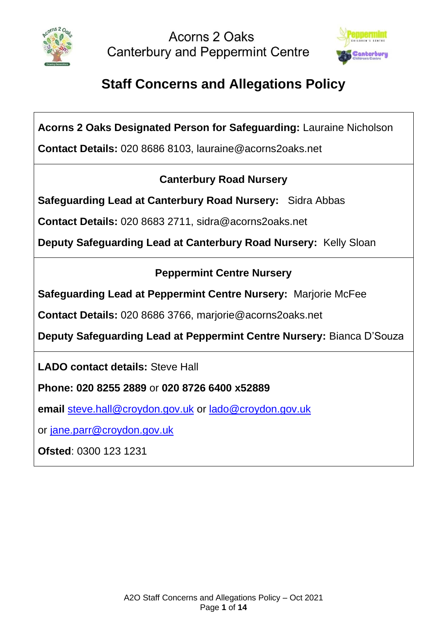

Acorns 2 Oaks **Canterbury and Peppermint Centre** 



# **Staff Concerns and Allegations Policy**

**Acorns 2 Oaks Designated Person for Safeguarding:** Lauraine Nicholson

**Contact Details:** 020 8686 8103, lauraine@acorns2oaks.net

## **Canterbury Road Nursery**

**Safeguarding Lead at Canterbury Road Nursery:** Sidra Abbas

**Contact Details:** 020 8683 2711, sidra@acorns2oaks.net

**Deputy Safeguarding Lead at Canterbury Road Nursery:** Kelly Sloan

## **Peppermint Centre Nursery**

**Safeguarding Lead at Peppermint Centre Nursery:** Marjorie McFee

**Contact Details:** 020 8686 3766, marjorie@acorns2oaks.net

**Deputy Safeguarding Lead at Peppermint Centre Nursery:** Bianca D'Souza

**LADO contact details:** Steve Hall

**Phone: 020 8255 2889** or **020 8726 6400 x52889**

**email** [steve.hall@croydon.gov.uk](mailto:steve.hall@croydon.gov.uk) or [lado@croydon.gov.uk](mailto:lado@croydon.gov.uk)

or [jane.parr@croydon.gov.uk](mailto:jane.parr@croydon.gov.uk)

**Ofsted**: 0300 123 1231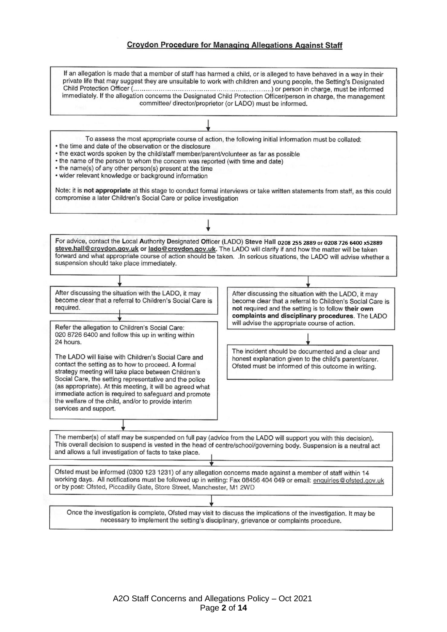#### **Croydon Procedure for Managing Allegations Against Staff**

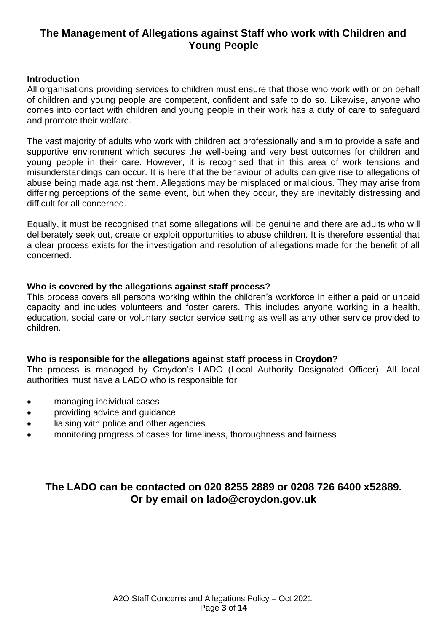## **The Management of Allegations against Staff who work with Children and Young People**

#### **Introduction**

All organisations providing services to children must ensure that those who work with or on behalf of children and young people are competent, confident and safe to do so. Likewise, anyone who comes into contact with children and young people in their work has a duty of care to safeguard and promote their welfare.

The vast majority of adults who work with children act professionally and aim to provide a safe and supportive environment which secures the well-being and very best outcomes for children and young people in their care. However, it is recognised that in this area of work tensions and misunderstandings can occur. It is here that the behaviour of adults can give rise to allegations of abuse being made against them. Allegations may be misplaced or malicious. They may arise from differing perceptions of the same event, but when they occur, they are inevitably distressing and difficult for all concerned.

Equally, it must be recognised that some allegations will be genuine and there are adults who will deliberately seek out, create or exploit opportunities to abuse children. It is therefore essential that a clear process exists for the investigation and resolution of allegations made for the benefit of all concerned.

#### **Who is covered by the allegations against staff process?**

This process covers all persons working within the children's workforce in either a paid or unpaid capacity and includes volunteers and foster carers. This includes anyone working in a health, education, social care or voluntary sector service setting as well as any other service provided to children.

#### **Who is responsible for the allegations against staff process in Croydon?**

The process is managed by Croydon's LADO (Local Authority Designated Officer). All local authorities must have a LADO who is responsible for

- managing individual cases
- providing advice and guidance
- liaising with police and other agencies
- monitoring progress of cases for timeliness, thoroughness and fairness

## **The LADO can be contacted on 020 8255 2889 or 0208 726 6400 x52889. Or by email on lado@croydon.gov.uk**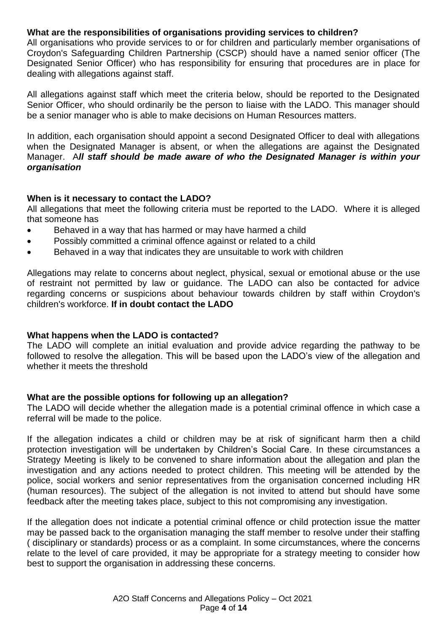#### **What are the responsibilities of organisations providing services to children?**

All organisations who provide services to or for children and particularly member organisations of Croydon's Safeguarding Children Partnership (CSCP) should have a named senior officer (The Designated Senior Officer) who has responsibility for ensuring that procedures are in place for dealing with allegations against staff.

All allegations against staff which meet the criteria below, should be reported to the Designated Senior Officer, who should ordinarily be the person to liaise with the LADO. This manager should be a senior manager who is able to make decisions on Human Resources matters.

In addition, each organisation should appoint a second Designated Officer to deal with allegations when the Designated Manager is absent, or when the allegations are against the Designated Manager. A*ll staff should be made aware of who the Designated Manager is within your organisation*

#### **When is it necessary to contact the LADO?**

All allegations that meet the following criteria must be reported to the LADO. Where it is alleged that someone has

- Behaved in a way that has harmed or may have harmed a child
- Possibly committed a criminal offence against or related to a child
- Behaved in a way that indicates they are unsuitable to work with children

Allegations may relate to concerns about neglect, physical, sexual or emotional abuse or the use of restraint not permitted by law or guidance. The LADO can also be contacted for advice regarding concerns or suspicions about behaviour towards children by staff within Croydon's children's workforce. **If in doubt contact the LADO**

#### **What happens when the LADO is contacted?**

The LADO will complete an initial evaluation and provide advice regarding the pathway to be followed to resolve the allegation. This will be based upon the LADO's view of the allegation and whether it meets the threshold

#### **What are the possible options for following up an allegation?**

The LADO will decide whether the allegation made is a potential criminal offence in which case a referral will be made to the police.

If the allegation indicates a child or children may be at risk of significant harm then a child protection investigation will be undertaken by Children's Social Care. In these circumstances a Strategy Meeting is likely to be convened to share information about the allegation and plan the investigation and any actions needed to protect children. This meeting will be attended by the police, social workers and senior representatives from the organisation concerned including HR (human resources). The subject of the allegation is not invited to attend but should have some feedback after the meeting takes place, subject to this not compromising any investigation.

If the allegation does not indicate a potential criminal offence or child protection issue the matter may be passed back to the organisation managing the staff member to resolve under their staffing ( disciplinary or standards) process or as a complaint. In some circumstances, where the concerns relate to the level of care provided, it may be appropriate for a strategy meeting to consider how best to support the organisation in addressing these concerns.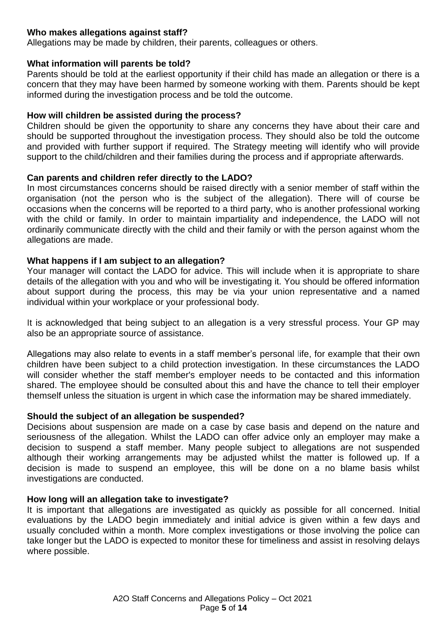#### **Who makes allegations against staff?**

Allegations may be made by children, their parents, colleagues or others.

#### **What information will parents be told?**

Parents should be told at the earliest opportunity if their child has made an allegation or there is a concern that they may have been harmed by someone working with them. Parents should be kept informed during the investigation process and be told the outcome.

#### **How will children be assisted during the process?**

Children should be given the opportunity to share any concerns they have about their care and should be supported throughout the investigation process. They should also be told the outcome and provided with further support if required. The Strategy meeting will identify who will provide support to the child/children and their families during the process and if appropriate afterwards.

#### **Can parents and children refer directly to the LADO?**

In most circumstances concerns should be raised directly with a senior member of staff within the organisation (not the person who is the subject of the allegation). There will of course be occasions when the concerns will be reported to a third party, who is another professional working with the child or family. In order to maintain impartiality and independence, the LADO will not ordinarily communicate directly with the child and their family or with the person against whom the allegations are made.

#### **What happens if I am subject to an allegation?**

Your manager will contact the LADO for advice. This will include when it is appropriate to share details of the allegation with you and who will be investigating it. You should be offered information about support during the process, this may be via your union representative and a named individual within your workplace or your professional body.

It is acknowledged that being subject to an allegation is a very stressful process. Your GP may also be an appropriate source of assistance.

Allegations may also relate to events in a staff member's personal life, for example that their own children have been subject to a child protection investigation. In these circumstances the LADO will consider whether the staff member's employer needs to be contacted and this information shared. The employee should be consulted about this and have the chance to tell their employer themself unless the situation is urgent in which case the information may be shared immediately.

#### **Should the subject of an allegation be suspended?**

Decisions about suspension are made on a case by case basis and depend on the nature and seriousness of the allegation. Whilst the LADO can offer advice only an employer may make a decision to suspend a staff member. Many people subject to allegations are not suspended although their working arrangements may be adjusted whilst the matter is followed up. If a decision is made to suspend an employee, this will be done on a no blame basis whilst investigations are conducted.

#### **How long will an allegation take to investigate?**

It is important that allegations are investigated as quickly as possible for all concerned. Initial evaluations by the LADO begin immediately and initial advice is given within a few days and usually concluded within a month. More complex investigations or those involving the police can take longer but the LADO is expected to monitor these for timeliness and assist in resolving delays where possible.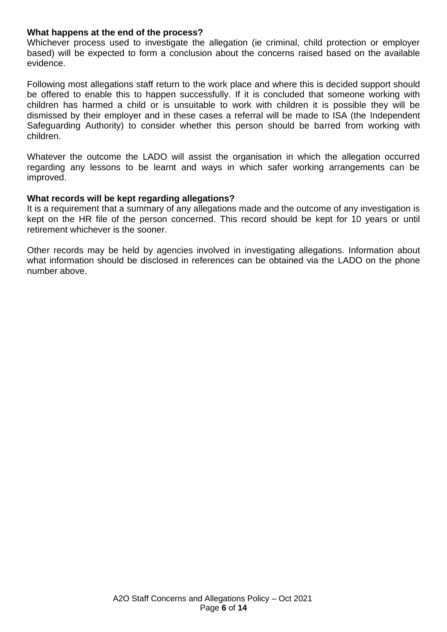#### **What happens at the end of the process?**

Whichever process used to investigate the allegation (ie criminal, child protection or employer based) will be expected to form a conclusion about the concerns raised based on the available evidence.

Following most allegations staff return to the work place and where this is decided support should be offered to enable this to happen successfully. If it is concluded that someone working with children has harmed a child or is unsuitable to work with children it is possible they will be dismissed by their employer and in these cases a referral will be made to ISA (the Independent Safeguarding Authority) to consider whether this person should be barred from working with children.

Whatever the outcome the LADO will assist the organisation in which the allegation occurred regarding any lessons to be learnt and ways in which safer working arrangements can be improved.

#### **What records will be kept regarding allegations?**

It is a requirement that a summary of any allegations made and the outcome of any investigation is kept on the HR file of the person concerned. This record should be kept for 10 years or until retirement whichever is the sooner.

Other records may be held by agencies involved in investigating allegations. Information about what information should be disclosed in references can be obtained via the LADO on the phone number above.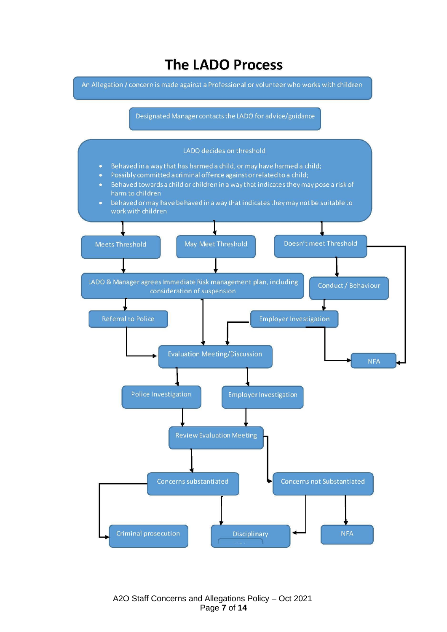# **The LADO Process**

An Allegation / concern is made against a Professional or volunteer who works with children

Designated Manager contacts the LADO for advice/guidance

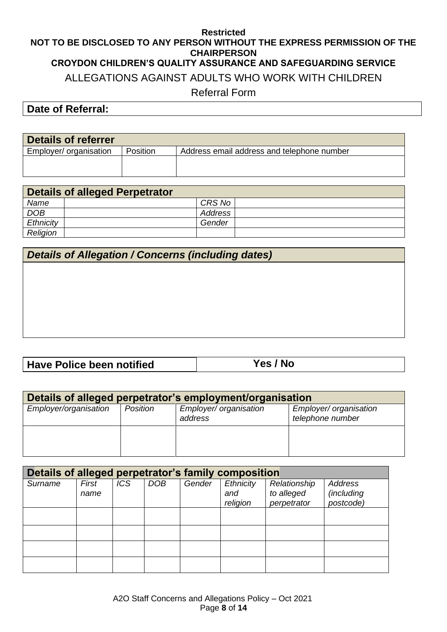#### **Restricted NOT TO BE DISCLOSED TO ANY PERSON WITHOUT THE EXPRESS PERMISSION OF THE CHAIRPERSON CROYDON CHILDREN'S QUALITY ASSURANCE AND SAFEGUARDING SERVICE** ALLEGATIONS AGAINST ADULTS WHO WORK WITH CHILDREN Referral Form

**Date of Referral:** 

| Details of referrer    |                 |                                            |
|------------------------|-----------------|--------------------------------------------|
| Employer/ organisation | <b>Position</b> | Address email address and telephone number |
|                        |                 |                                            |
|                        |                 |                                            |

| Details of alleged Perpetrator |         |  |  |  |
|--------------------------------|---------|--|--|--|
| Name                           | CRS No  |  |  |  |
| <b>DOB</b>                     | Address |  |  |  |
| Ethnicity                      | Gender  |  |  |  |
| Religion                       |         |  |  |  |

### *Details of Allegation / Concerns (including dates)*

## **Have Police been notified Yes / No**

| Details of alleged perpetrator's employment/organisation |          |                                   |                                            |  |
|----------------------------------------------------------|----------|-----------------------------------|--------------------------------------------|--|
| Employer/organisation                                    | Position | Employer/ organisation<br>address | Employer/ organisation<br>telephone number |  |
|                                                          |          |                                   |                                            |  |

| Details of alleged perpetrator's family composition |               |     |            |        |                              |                                           |                                           |
|-----------------------------------------------------|---------------|-----|------------|--------|------------------------------|-------------------------------------------|-------------------------------------------|
| Surname                                             | First<br>name | ICS | <b>DOB</b> | Gender | Ethnicity<br>and<br>religion | Relationship<br>to alleged<br>perpetrator | <b>Address</b><br>(including<br>postcode) |
|                                                     |               |     |            |        |                              |                                           |                                           |
|                                                     |               |     |            |        |                              |                                           |                                           |
|                                                     |               |     |            |        |                              |                                           |                                           |
|                                                     |               |     |            |        |                              |                                           |                                           |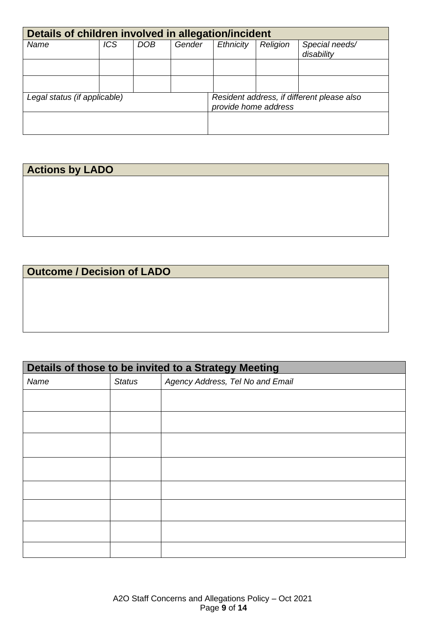| Details of children involved in allegation/incident |            |            |        |                      |          |                                            |
|-----------------------------------------------------|------------|------------|--------|----------------------|----------|--------------------------------------------|
| Name                                                | <b>ICS</b> | <b>DOB</b> | Gender | Ethnicity            | Religion | Special needs/<br>disability               |
|                                                     |            |            |        |                      |          |                                            |
|                                                     |            |            |        |                      |          |                                            |
| Legal status (if applicable)                        |            |            |        | provide home address |          | Resident address, if different please also |
|                                                     |            |            |        |                      |          |                                            |

# **Actions by LADO**

## **Outcome / Decision of LADO**

| Details of those to be invited to a Strategy Meeting |               |                                  |  |
|------------------------------------------------------|---------------|----------------------------------|--|
| Name                                                 | <b>Status</b> | Agency Address, Tel No and Email |  |
|                                                      |               |                                  |  |
|                                                      |               |                                  |  |
|                                                      |               |                                  |  |
|                                                      |               |                                  |  |
|                                                      |               |                                  |  |
|                                                      |               |                                  |  |
|                                                      |               |                                  |  |
|                                                      |               |                                  |  |
|                                                      |               |                                  |  |
|                                                      |               |                                  |  |
|                                                      |               |                                  |  |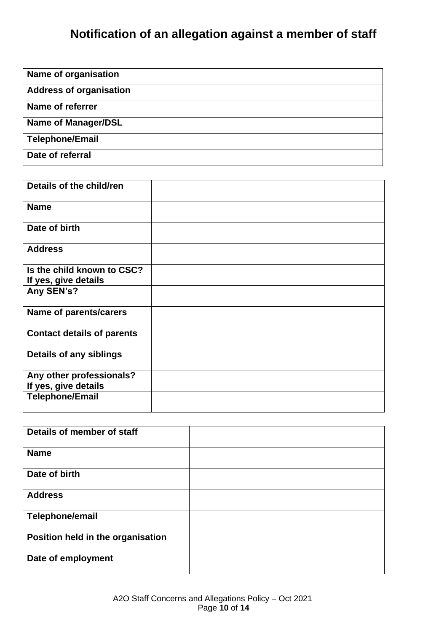# **Notification of an allegation against a member of staff**

| Name of organisation           |  |
|--------------------------------|--|
| <b>Address of organisation</b> |  |
| Name of referrer               |  |
| <b>Name of Manager/DSL</b>     |  |
| <b>Telephone/Email</b>         |  |
| Date of referral               |  |

| Details of the child/ren                           |  |
|----------------------------------------------------|--|
| <b>Name</b>                                        |  |
| Date of birth                                      |  |
| <b>Address</b>                                     |  |
| Is the child known to CSC?<br>If yes, give details |  |
| Any SEN's?                                         |  |
| <b>Name of parents/carers</b>                      |  |
| <b>Contact details of parents</b>                  |  |
| <b>Details of any siblings</b>                     |  |
| Any other professionals?<br>If yes, give details   |  |
| <b>Telephone/Email</b>                             |  |

| Details of member of staff        |  |
|-----------------------------------|--|
| <b>Name</b>                       |  |
| Date of birth                     |  |
| <b>Address</b>                    |  |
| Telephone/email                   |  |
| Position held in the organisation |  |
| Date of employment                |  |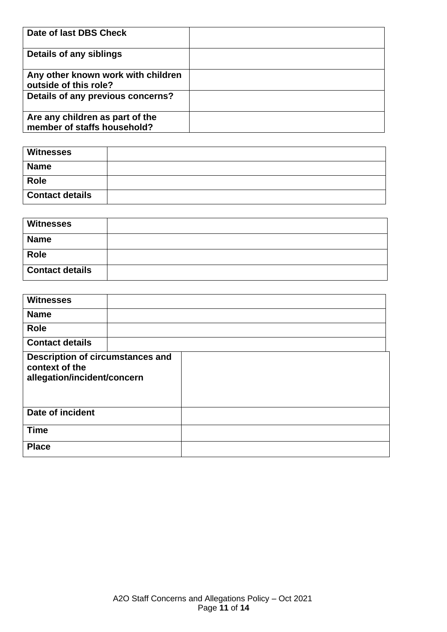| Date of last DBS Check                                         |  |
|----------------------------------------------------------------|--|
| Details of any siblings                                        |  |
| Any other known work with children<br>outside of this role?    |  |
| Details of any previous concerns?                              |  |
| Are any children as part of the<br>member of staffs household? |  |

| <b>Witnesses</b>       |  |
|------------------------|--|
| <b>Name</b>            |  |
| <b>Role</b>            |  |
| <b>Contact details</b> |  |

| <b>Witnesses</b>       |  |
|------------------------|--|
| <b>Name</b>            |  |
| <b>Role</b>            |  |
| <b>Contact details</b> |  |

| <b>Witnesses</b>                                                                         |  |  |
|------------------------------------------------------------------------------------------|--|--|
| <b>Name</b>                                                                              |  |  |
| <b>Role</b>                                                                              |  |  |
| <b>Contact details</b>                                                                   |  |  |
| <b>Description of circumstances and</b><br>context of the<br>allegation/incident/concern |  |  |
| Date of incident                                                                         |  |  |
| <b>Time</b>                                                                              |  |  |
| <b>Place</b>                                                                             |  |  |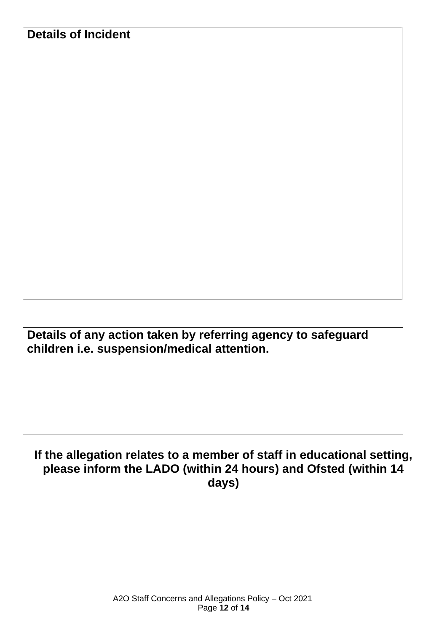**Details of any action taken by referring agency to safeguard children i.e. suspension/medical attention.**

## **If the allegation relates to a member of staff in educational setting, please inform the LADO (within 24 hours) and Ofsted (within 14 days)**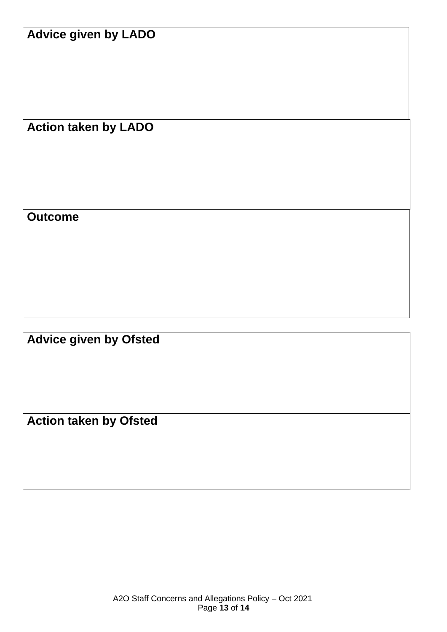## **Advice given by LADO**

**Action taken by LADO**

**Outcome**

**Advice given by Ofsted**

**Action taken by Ofsted**